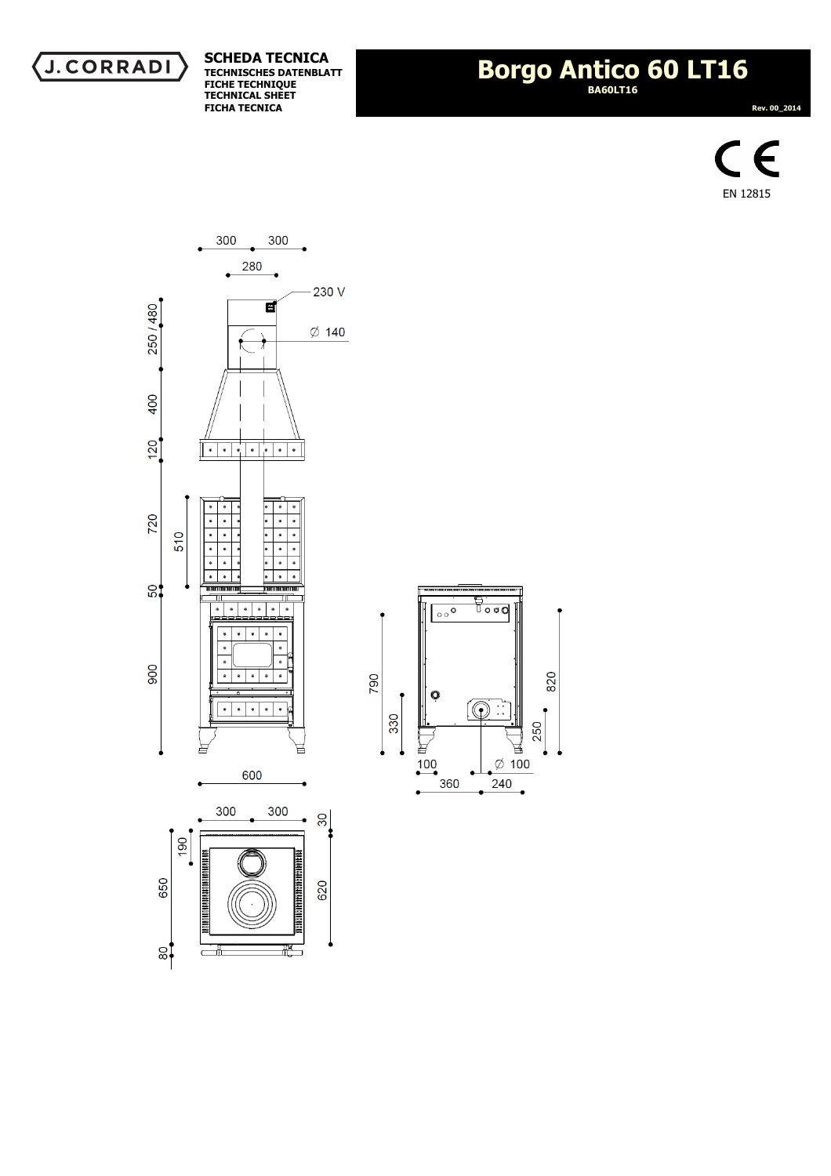

## **Borgo Antico 60 LT16 BA60LT16**

 **Rev. 00\_2014** 





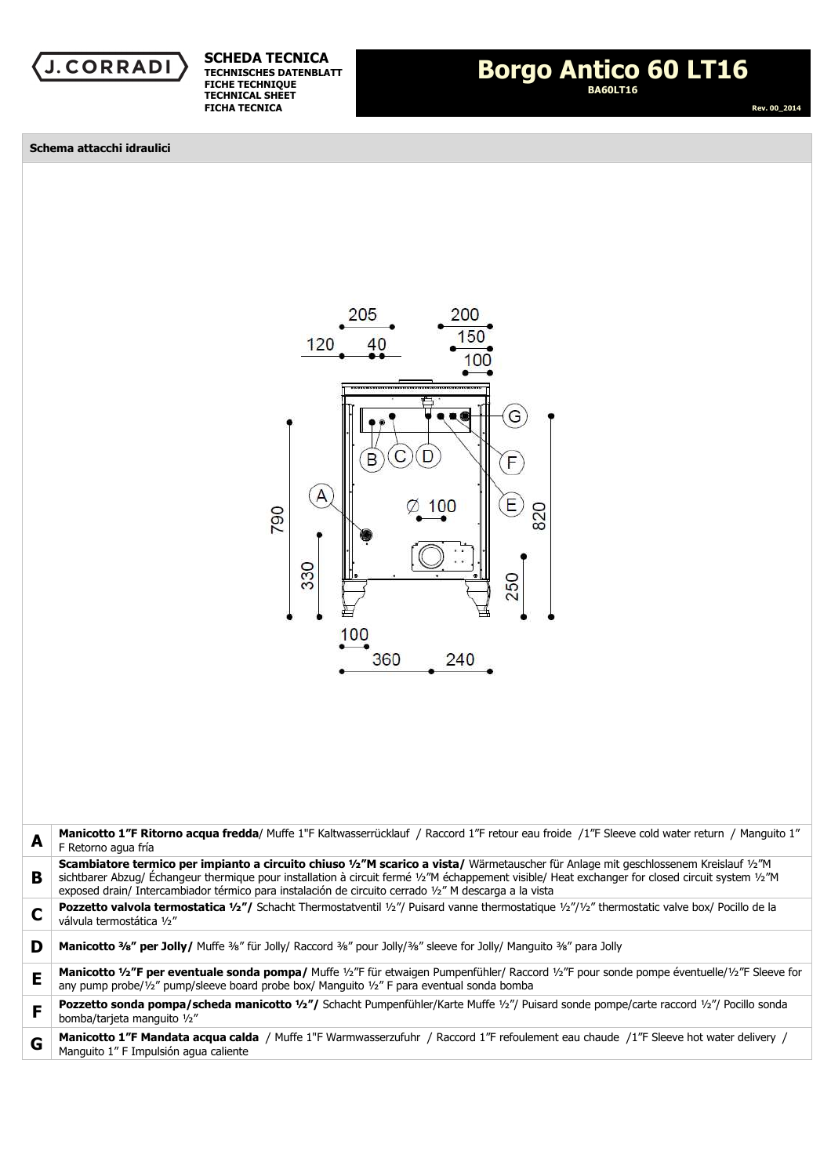



 **Rev. 00\_2014** 

**Schema attacchi idraulici** 



| A | Manicotto 1"F Ritorno acqua fredda/ Muffe 1"F Kaltwasserrücklauf / Raccord 1"F retour eau froide /1"F Sleeve cold water return / Manquito 1"<br>F Retorno agua fría                                                                                                                                                                                                                                |
|---|----------------------------------------------------------------------------------------------------------------------------------------------------------------------------------------------------------------------------------------------------------------------------------------------------------------------------------------------------------------------------------------------------|
| В | Scambiatore termico per impianto a circuito chiuso 1/2"M scarico a vista/ Wärmetauscher für Anlage mit geschlossenem Kreislauf 1/2"M<br>sichtbarer Abzug/ Échangeur thermique pour installation à circuit fermé 1/2"M échappement visible/ Heat exchanger for closed circuit system 1/2"M<br>exposed drain/ Intercambiador térmico para instalación de circuito cerrado 1/2" M descarga a la vista |
| C | <b>Pozzetto valvola termostatica 1/2"/</b> Schacht Thermostatventil 1/2"/ Puisard vanne thermostatique 1/2"/1/2" thermostatic valve box/ Pocillo de la<br>válvula termostática 1/2"                                                                                                                                                                                                                |
| D | Manicotto 3/8" per Jolly/ Muffe 3/8" für Jolly/ Raccord 3/8" pour Jolly/3/8" sleeve for Jolly/ Manguito 3/8" para Jolly                                                                                                                                                                                                                                                                            |
| E | Manicotto 1/2"F per eventuale sonda pompa/ Muffe 1/2"F für etwaigen Pumpenfühler/ Raccord 1/2"F pour sonde pompe éventuelle/1/2"F Sleeve for<br>any pump probe/1/2" pump/sleeve board probe box/ Manguito 1/2" F para eventual sonda bomba                                                                                                                                                         |
| F | <b>Pozzetto sonda pompa/scheda manicotto 1/2"/</b> Schacht Pumpenfühler/Karte Muffe 1/2"/ Puisard sonde pompe/carte raccord 1/2"/ Pocillo sonda<br>bomba/tarjeta manguito 1/2"                                                                                                                                                                                                                     |
| G | Manicotto 1"F Mandata acqua calda / Muffe 1"F Warmwasserzufuhr / Raccord 1"F refoulement eau chaude /1"F Sleeve hot water delivery /<br>Manquito 1" F Impulsión aqua caliente                                                                                                                                                                                                                      |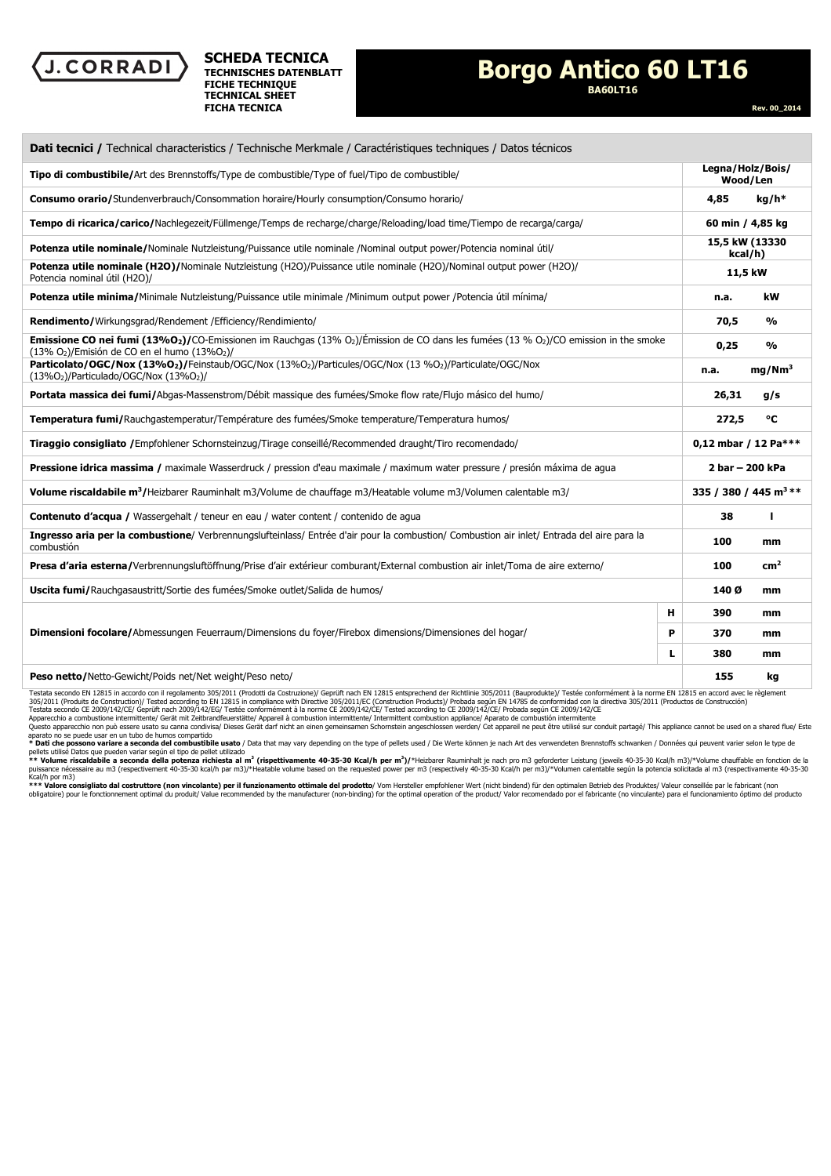

## **Borgo Antico 60 LT16**

**BA60LT16** 

 **Rev. 00\_2014** 

| Dati tecnici / Technical characteristics / Technische Merkmale / Caractéristiques techniques / Datos técnicos                                                                                    |  |                                   |                    |  |
|--------------------------------------------------------------------------------------------------------------------------------------------------------------------------------------------------|--|-----------------------------------|--------------------|--|
| Tipo di combustibile/Art des Brennstoffs/Type de combustible/Type of fuel/Tipo de combustible/                                                                                                   |  | Legna/Holz/Bois/<br>Wood/Len      |                    |  |
| Consumo orario/Stundenverbrauch/Consommation horaire/Hourly consumption/Consumo horario/                                                                                                         |  | 4,85                              | $kg/h*$            |  |
| Tempo di ricarica/carico/Nachlegezeit/Füllmenge/Temps de recharge/charge/Reloading/load time/Tiempo de recarga/carga/                                                                            |  | 60 min / 4,85 kg                  |                    |  |
| Potenza utile nominale/Nominale Nutzleistung/Puissance utile nominale /Nominal output power/Potencia nominal útil/                                                                               |  | 15,5 kW (13330<br>kcal/h)         |                    |  |
| Potenza utile nominale (H2O)/Nominale Nutzleistung (H2O)/Puissance utile nominale (H2O)/Nominal output power (H2O)/<br>Potencia nominal útil (H2O)/                                              |  | 11,5 kW                           |                    |  |
| Potenza utile minima/Minimale Nutzleistung/Puissance utile minimale /Minimum output power /Potencia útil mínima/                                                                                 |  | n.a.                              | kW                 |  |
| <b>Rendimento/</b> Wirkungsgrad/Rendement/Efficiency/Rendimiento/                                                                                                                                |  | 70,5                              | $\frac{0}{0}$      |  |
| <b>Emissione CO nei fumi (13%O2)/</b> CO-Emissionen im Rauchgas (13% O2)/Émission de CO dans les fumées (13 % O2)/CO emission in the smoke<br>$(13\% O2)/E$ misión de CO en el humo $(13\% O2)/$ |  | 0,25                              | $\frac{0}{0}$      |  |
| Particolato/OGC/Nox (13%O2)/Feinstaub/OGC/Nox (13%O2)/Particules/OGC/Nox (13%O2)/Particulate/OGC/Nox<br>$(13\%O2)/$ Particulado/OGC/Nox $(13\%O2)$ /                                             |  | n.a.                              | mg/Nm <sup>3</sup> |  |
| Portata massica dei fumi/Abgas-Massenstrom/Débit massique des fumées/Smoke flow rate/Flujo másico del humo/                                                                                      |  | 26,31                             | g/s                |  |
| Temperatura fumi/Rauchgastemperatur/Température des fumées/Smoke temperature/Temperatura humos/                                                                                                  |  | 272,5                             | ۰c                 |  |
| Tiraggio consigliato / Empfohlener Schornsteinzug/Tirage conseillé/Recommended draught/Tiro recomendado/                                                                                         |  | 0,12 mbar / 12 Pa***              |                    |  |
| Pressione idrica massima / maximale Wasserdruck / pression d'eau maximale / maximum water pressure / presión máxima de aqua                                                                      |  | 2 bar - 200 kPa                   |                    |  |
| Volume riscaldabile m <sup>3</sup> /Heizbarer Rauminhalt m3/Volume de chauffage m3/Heatable volume m3/Volumen calentable m3/                                                                     |  | 335 / 380 / 445 m <sup>3</sup> ** |                    |  |
| Contenuto d'acqua / Wassergehalt / teneur en eau / water content / contenido de agua                                                                                                             |  | 38                                | ı                  |  |
| Ingresso aria per la combustione/ Verbrennungslufteinlass/ Entrée d'air pour la combustion/ Combustion air inlet/ Entrada del aire para la<br>combustión                                         |  | 100                               | mm                 |  |
| Presa d'aria esterna/Verbrennungsluftöffnung/Prise d'air extérieur comburant/External combustion air inlet/Toma de aire externo/                                                                 |  | 100                               | cm <sup>2</sup>    |  |
| Uscita fumi/Rauchgasaustritt/Sortie des fumées/Smoke outlet/Salida de humos/                                                                                                                     |  | 140 Ø                             | mm                 |  |
| н<br>P<br>Dimensioni focolare/Abmessungen Feuerraum/Dimensions du foyer/Firebox dimensions/Dimensiones del hogar/<br>L                                                                           |  | 390                               | mm                 |  |
|                                                                                                                                                                                                  |  | 370                               | mm                 |  |
|                                                                                                                                                                                                  |  | 380                               | mm                 |  |
| Peso netto/Netto-Gewicht/Poids net/Net weight/Peso neto/                                                                                                                                         |  | 155                               | kq                 |  |

Testata secondo EN 12815 in accordo con il regolamento 305/2011 (Prodotti da Costruzione)/ Geprüft nach EN 12815 entsprechend der Richtlinie 305/2011 (Bauprodukte)/ Testée conformément à la norme EN 12815 en accord avec le

Apparecchio a combustione intermittente/ Gerät mit Zeitbrandfeuerstätte/ Appareil à combustion intermittente/ Intermittent combustion appliance/ Aparato de combustión intermitente<br>Questo apparecchio non può essere usato su

aparato no se puede usar en un tubo de humos compartidole usato / Data that may vary depending on the type of pellets used / Die Werte können je nach Art des verwendeten Brennstoffs schwanken / Données qui peuvent varier s

Kcal/h por m3)<br>\*\*\* Valore consigliato dal costruttore (non vincolante) per il funzionamento ottimale del prodotto/ Vom Hersteller empfohlener Wert (nicht bindend) für den optimalen Betrieb des Produktes/ Valeur conseillée